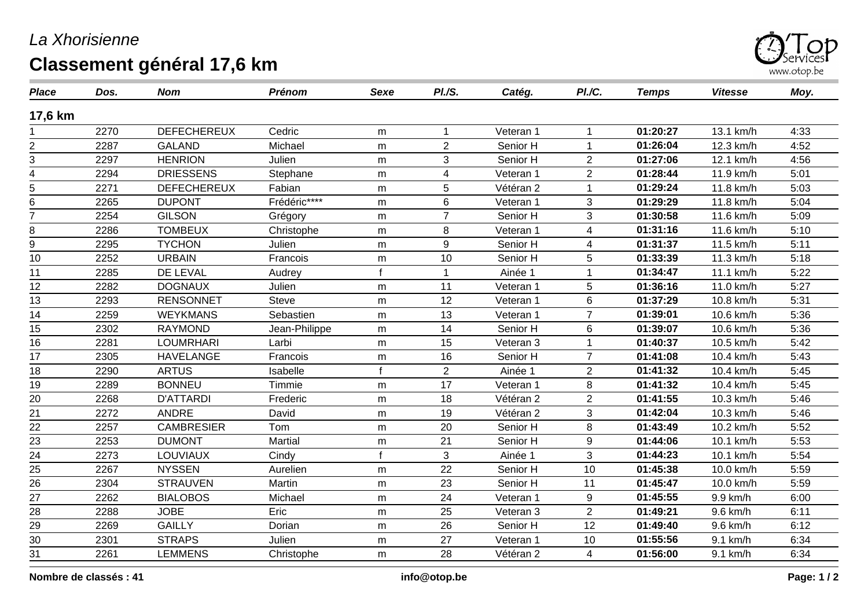## *La Xhorisienne*

## **Classement général 17,6 km**



| <b>Place</b>    | Dos. | <b>Nom</b>         | Prénom         | <b>Sexe</b>  | PI.S.          | Catég.    | PI./C.           | <b>Temps</b> | <b>Vitesse</b> | Moy. |
|-----------------|------|--------------------|----------------|--------------|----------------|-----------|------------------|--------------|----------------|------|
| 17,6 km         |      |                    |                |              |                |           |                  |              |                |      |
|                 | 2270 | <b>DEFECHEREUX</b> | Cedric         | m            | $\overline{1}$ | Veteran 1 |                  | 01:20:27     | 13.1 km/h      | 4:33 |
| 2               | 2287 | <b>GALAND</b>      | Michael        | m            | $\overline{2}$ | Senior H  |                  | 01:26:04     | 12.3 km/h      | 4:52 |
| 3               | 2297 | <b>HENRION</b>     | Julien         | m            | 3              | Senior H  | $\overline{2}$   | 01:27:06     | 12.1 km/h      | 4:56 |
| 4               | 2294 | <b>DRIESSENS</b>   | Stephane       | m            | 4              | Veteran 1 | $\overline{2}$   | 01:28:44     | 11.9 km/h      | 5:01 |
| 5               | 2271 | <b>DEFECHEREUX</b> | Fabian         | m            | 5              | Vétéran 2 |                  | 01:29:24     | 11.8 km/h      | 5:03 |
| 6               | 2265 | <b>DUPONT</b>      | Frédéric****   | m            | 6              | Veteran 1 | 3                | 01:29:29     | 11.8 km/h      | 5:04 |
| 7               | 2254 | <b>GILSON</b>      | Grégory        | m            | $\overline{7}$ | Senior H  | 3                | 01:30:58     | 11.6 km/h      | 5:09 |
| 8               | 2286 | <b>TOMBEUX</b>     | Christophe     | m            | 8              | Veteran 1 | $\overline{4}$   | 01:31:16     | 11.6 km/h      | 5:10 |
| 9               | 2295 | <b>TYCHON</b>      | Julien         | m            | 9              | Senior H  | $\overline{4}$   | 01:31:37     | 11.5 km/h      | 5:11 |
| 10              | 2252 | <b>URBAIN</b>      | Francois       | m            | 10             | Senior H  | 5                | 01:33:39     | 11.3 km/h      | 5:18 |
| 11              | 2285 | DE LEVAL           | Audrey         | $\mathbf{f}$ |                | Ainée 1   |                  | 01:34:47     | 11.1 km/h      | 5:22 |
| 12              | 2282 | <b>DOGNAUX</b>     | Julien         | m            | 11             | Veteran 1 | 5                | 01:36:16     | 11.0 km/h      | 5:27 |
| 13              | 2293 | <b>RENSONNET</b>   | <b>Steve</b>   | m            | 12             | Veteran 1 | $6\phantom{1}$   | 01:37:29     | 10.8 km/h      | 5:31 |
| 14              | 2259 | <b>WEYKMANS</b>    | Sebastien      | m            | 13             | Veteran 1 | $\overline{7}$   | 01:39:01     | 10.6 km/h      | 5:36 |
| 15              | 2302 | <b>RAYMOND</b>     | Jean-Philippe  | m            | 14             | Senior H  | 6                | 01:39:07     | 10.6 km/h      | 5:36 |
| 16              | 2281 | <b>LOUMRHARI</b>   | Larbi          | m            | 15             | Veteran 3 |                  | 01:40:37     | 10.5 km/h      | 5:42 |
| 17              | 2305 | <b>HAVELANGE</b>   | Francois       | m            | 16             | Senior H  | $\overline{7}$   | 01:41:08     | 10.4 km/h      | 5:43 |
| 18              | 2290 | <b>ARTUS</b>       | Isabelle       | $\mathbf f$  | $\overline{2}$ | Ainée 1   | $\overline{2}$   | 01:41:32     | 10.4 km/h      | 5:45 |
| 19              | 2289 | <b>BONNEU</b>      | Timmie         | m            | 17             | Veteran 1 | 8                | 01:41:32     | 10.4 km/h      | 5:45 |
| 20              | 2268 | <b>D'ATTARDI</b>   | Frederic       | m            | 18             | Vétéran 2 | $\overline{2}$   | 01:41:55     | 10.3 km/h      | 5:46 |
| 21              | 2272 | <b>ANDRE</b>       | David          | m            | 19             | Vétéran 2 | 3                | 01:42:04     | 10.3 km/h      | 5:46 |
| 22              | 2257 | <b>CAMBRESIER</b>  | Tom            | m            | 20             | Senior H  | 8                | 01:43:49     | 10.2 km/h      | 5:52 |
| $\frac{23}{24}$ | 2253 | <b>DUMONT</b>      | <b>Martial</b> | m            | 21             | Senior H  | $\boldsymbol{9}$ | 01:44:06     | 10.1 km/h      | 5:53 |
|                 | 2273 | LOUVIAUX           | Cindy          | f            | $\mathfrak{B}$ | Ainée 1   | $\mathfrak{S}$   | 01:44:23     | 10.1 km/h      | 5:54 |
| 25              | 2267 | <b>NYSSEN</b>      | Aurelien       | m            | 22             | Senior H  | 10               | 01:45:38     | 10.0 km/h      | 5:59 |
| $\overline{26}$ | 2304 | <b>STRAUVEN</b>    | Martin         | m            | 23             | Senior H  | 11               | 01:45:47     | 10.0 km/h      | 5:59 |
| 27              | 2262 | <b>BIALOBOS</b>    | Michael        | m            | 24             | Veteran 1 | 9                | 01:45:55     | 9.9 km/h       | 6:00 |
| 28              | 2288 | <b>JOBE</b>        | Eric           | m            | 25             | Veteran 3 | $\overline{2}$   | 01:49:21     | 9.6 km/h       | 6:11 |
| 29              | 2269 | <b>GAILLY</b>      | Dorian         | m            | 26             | Senior H  | 12               | 01:49:40     | 9.6 km/h       | 6:12 |
| 30              | 2301 | <b>STRAPS</b>      | Julien         | m            | 27             | Veteran 1 | 10               | 01:55:56     | 9.1 km/h       | 6:34 |
| 31              | 2261 | <b>LEMMENS</b>     | Christophe     | m            | 28             | Vétéran 2 | 4                | 01:56:00     | 9.1 km/h       | 6:34 |